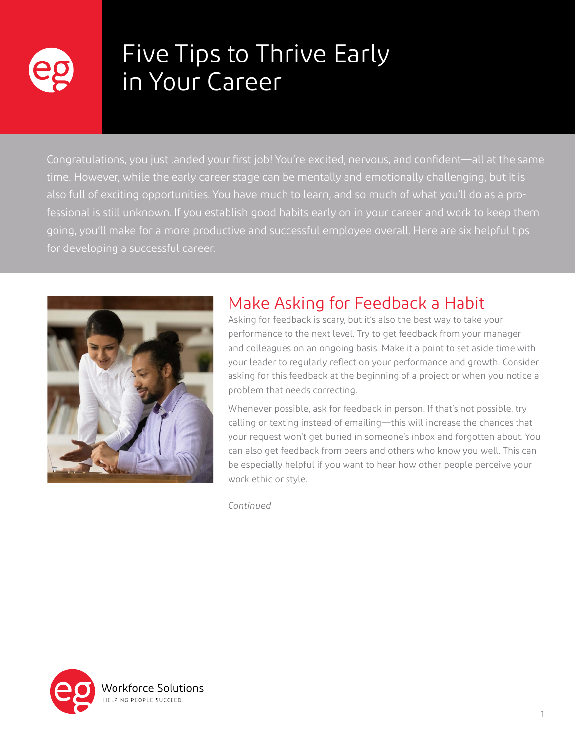

# Five Tips to Thrive Early in Your Career

Congratulations, you just landed your first job! You're excited, nervous, and confident—all at the same time. However, while the early career stage can be mentally and emotionally challenging, but it is also full of exciting opportunities. You have much to learn, and so much of what you'll do as a professional is still unknown. If you establish good habits early on in your career and work to keep them going, you'll make for a more productive and successful employee overall. Here are six helpful tips for developing a successful career.



# Make Asking for Feedback a Habit

Asking for feedback is scary, but it's also the best way to take your performance to the next level. Try to get feedback from your manager and colleagues on an ongoing basis. Make it a point to set aside time with your leader to regularly reflect on your performance and growth. Consider asking for this feedback at the beginning of a project or when you notice a problem that needs correcting.

Whenever possible, ask for feedback in person. If that's not possible, try calling or texting instead of emailing—this will increase the chances that your request won't get buried in someone's inbox and forgotten about. You can also get feedback from peers and others who know you well. This can be especially helpful if you want to hear how other people perceive your work ethic or style.

*Continued*

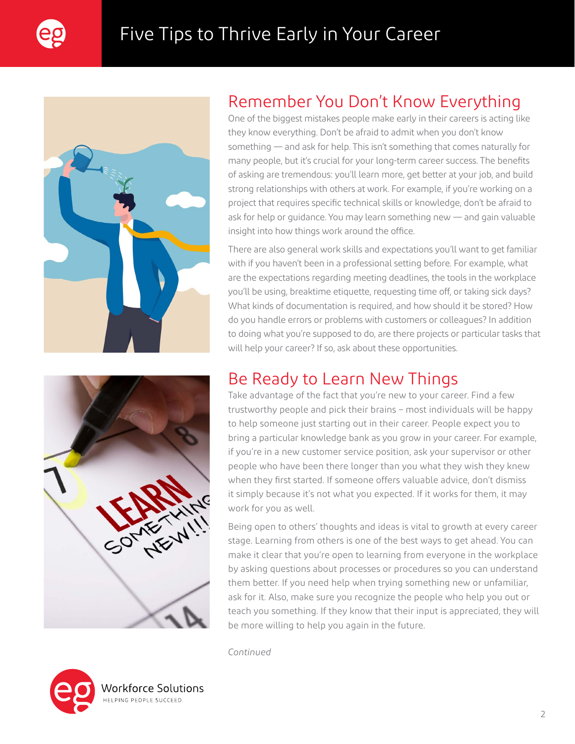





# Remember You Don't Know Everything

One of the biggest mistakes people make early in their careers is acting like they know everything. Don't be afraid to admit when you don't know something — and ask for help. This isn't something that comes naturally for many people, but it's crucial for your long-term career success. The benefits of asking are tremendous: you'll learn more, get better at your job, and build strong relationships with others at work. For example, if you're working on a project that requires specific technical skills or knowledge, don't be afraid to ask for help or guidance. You may learn something new — and gain valuable insight into how things work around the office.

There are also general work skills and expectations you'll want to get familiar with if you haven't been in a professional setting before. For example, what are the expectations regarding meeting deadlines, the tools in the workplace you'll be using, breaktime etiquette, requesting time off, or taking sick days? What kinds of documentation is required, and how should it be stored? How do you handle errors or problems with customers or colleagues? In addition to doing what you're supposed to do, are there projects or particular tasks that will help your career? If so, ask about these opportunities.

### Be Ready to Learn New Things

Take advantage of the fact that you're new to your career. Find a few trustworthy people and pick their brains – most individuals will be happy to help someone just starting out in their career. People expect you to bring a particular knowledge bank as you grow in your career. For example, if you're in a new customer service position, ask your supervisor or other people who have been there longer than you what they wish they knew when they first started. If someone offers valuable advice, don't dismiss it simply because it's not what you expected. If it works for them, it may work for you as well.

Being open to others' thoughts and ideas is vital to growth at every career stage. Learning from others is one of the best ways to get ahead. You can make it clear that you're open to learning from everyone in the workplace by asking questions about processes or procedures so you can understand them better. If you need help when trying something new or unfamiliar, ask for it. Also, make sure you recognize the people who help you out or teach you something. If they know that their input is appreciated, they will be more willing to help you again in the future.

*Continued*



orkforce Solutions/